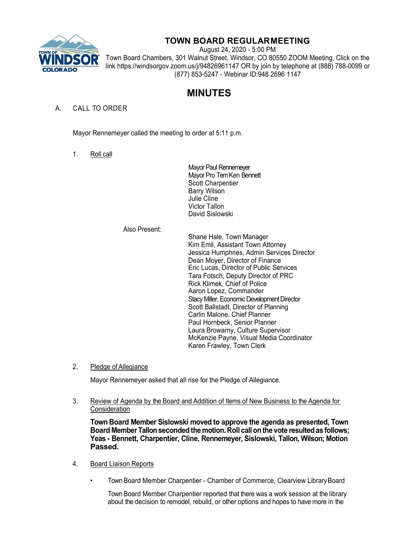

# **TOWN BOARD REGULARMEETING**

August 24, 2020 - 5:00 PM Town Board Chambers, 301 Walnut Street, Windsor, CO 80550 ZOOM Meeting, Click on the link https://windsorgov.zoom.us/j/94826961147 OR by join by telephone at (888) 788-0099 or (877) 853-5247 - Webinar ID:948 2696 1147

# **MINUTES**

# A. CALL TO ORDER

Mayor Rennemeyer called the meeting to order at 5:11 p.m.

1. Roll call

Mayor Paul Rennemeyer Mayor Pro Tem Ken Bennett Scott Charpentier Barry Wilson Julie Cline Victor Tallon David Sislowski

# Also Present:

Shane Hale, Town Manager Kim Emil, Assistant Town Attorney Jessica Humphries, Admin Services Director Dean Moyer, Director of Finance Eric Lucas, Director of Public Services Tara Fotsch, Deputy Director of PRC Rick Klimek, Chief of Police Aaron Lopez, Commander Stacy Miller, Economic Development Director Scott Ballstadt, Director of Planning Carlin Malone, Chief Planner Paul Hornbeck, Senior Planner Laura Browarny, Culture Supervisor McKenzie Payne, Visual Media Coordinator Karen Frawley, Town Clerk

2. Pledge of Allegiance

Mayor Rennemeyer asked that all rise for the Pledge of Allegiance.

3. Review of Agenda by the Board and Addition of Items of New Business to the Agenda for Consideration

**Town Board Member Sislowski moved to approve the agenda as presented, Town Board MemberTallonsecondedthe motion.Roll callonthe vote resultedas follows; Yeas - Bennett, Charpentier, Cline, Rennemeyer, Sislowski, Tallon, Wilson; Motion Passed.**

- 4. Board Liaison Reports
	- Town Board Member Charpentier Chamber of Commerce, Clearview LibraryBoard

Town Board Member Charpentier reported that there was a work session at the library about the decision to remodel, rebuild, or other options and hopes to have more in the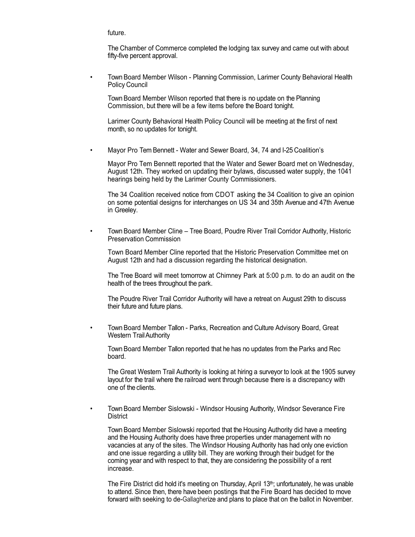future.

The Chamber of Commerce completed the lodging tax survey and came out with about fifty-five percent approval.

• Town Board Member Wilson - Planning Commission, Larimer County Behavioral Health Policy Council

Town Board Member Wilson reported that there is no update on the Planning Commission, but there will be a few items before the Board tonight.

Larimer County Behavioral Health Policy Council will be meeting at the first of next month, so no updates for tonight.

Mayor Pro Tem Bennett - Water and Sewer Board, 34, 74 and I-25 Coalition's

Mayor Pro Tem Bennett reported that the Water and Sewer Board met on Wednesday, August 12th. They worked on updating their bylaws, discussed water supply, the 1041 hearings being held by the Larimer County Commissioners.

The 34 Coalition received notice from CDOT asking the 34 Coalition to give an opinion on some potential designs for interchanges on US 34 and 35th Avenue and 47th Avenue in Greeley.

• Town Board Member Cline – Tree Board, Poudre River Trail Corridor Authority, Historic Preservation Commission

Town Board Member Cline reported that the Historic Preservation Committee met on August 12th and had a discussion regarding the historical designation.

The Tree Board will meet tomorrow at Chimney Park at 5:00 p.m. to do an audit on the health of the trees throughout the park.

The Poudre River Trail Corridor Authority will have a retreat on August 29th to discuss their future and future plans.

• Town Board Member Tallon - Parks, Recreation and Culture Advisory Board, Great Western TrailAuthority

Town Board Member Tallon reported that he has no updates from the Parks and Rec board.

The Great Western Trail Authority is looking at hiring a surveyor to look at the 1905 survey layout for the trail where the railroad went through because there is a discrepancy with one of the clients.

• Town Board Member Sislowski - Windsor Housing Authority, Windsor Severance Fire **District** 

Town Board Member Sislowski reported that the Housing Authority did have a meeting and the Housing Authority does have three properties under management with no vacancies at any of the sites. The Windsor Housing Authority has had only one eviction and one issue regarding a utility bill. They are working through their budget for the coming year and with respect to that, they are considering the possibility of a rent increase.

The Fire District did hold it's meeting on Thursday, April 13<sup>th</sup>; unfortunately, he was unable to attend. Since then, there have been postings that the Fire Board has decided to move forward with seeking to de-Gallagherize and plans to place that on the ballot in November.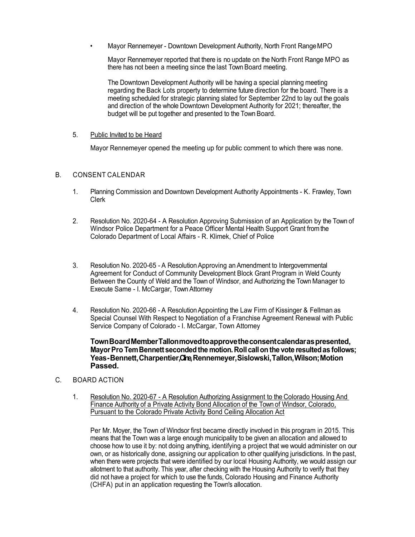• Mayor Rennemeyer - Downtown Development Authority, North Front RangeMPO

Mayor Rennemeyer reported that there is no update on the North Front Range MPO as there has not been a meeting since the last Town Board meeting.

The Downtown Development Authority will be having a special planning meeting regarding the Back Lots property to determine future direction for the board. There is a meeting scheduled for strategic planning slated for September 22nd to lay out the goals and direction of the whole Downtown Development Authority for 2021; thereafter, the budget will be put together and presented to the Town Board.

#### 5. Public Invited to be Heard

Mayor Rennemeyer opened the meeting up for public comment to which there was none.

# B. CONSENT CALENDAR

- 1. Planning Commission and Downtown Development Authority Appointments K. Frawley, Town Clerk
- 2. Resolution No. 2020-64 A Resolution Approving Submission of an Application by the Town of Windsor Police Department for a Peace Officer Mental Health Support Grant fromthe Colorado Department of Local Affairs - R. Klimek, Chief of Police
- 3. Resolution No. 2020-65 A ResolutionApproving anAmendment to Intergovernmental Agreement for Conduct of Community Development Block Grant Program in Weld County Between the County of Weld and the Town of Windsor, and Authorizing the Town Manager to Execute Same - I. McCargar, Town Attorney
- 4. Resolution No. 2020-66 A ResolutionAppointing the Law Firm of Kissinger & Fellman as Special Counsel With Respect to Negotiation of a Franchise Agreement Renewal with Public Service Company of Colorado - I. McCargar, Town Attorney

**TownBoardMemberTallonmovedtoapprovetheconsentcalendaraspresented, MayorPro TemBennett secondedthe motion.Roll callon the vote resultedas follows;**  Yeas-Bennett, Charpentier, Cine, Rennemeyer, Sislowski, Tallon, Wilson; Motion **Passed.**

- C. BOARD ACTION
	- 1. Resolution No. 2020-67 A Resolution Authorizing Assignment to the Colorado Housing And Finance Authority of a Private Activity Bond Allocation of the Town of Windsor, Colorado, Pursuant to the Colorado Private Activity Bond Ceiling Allocation Act

Per Mr. Moyer, the Town of Windsor first became directly involved in this program in 2015. This means that the Town was a large enough municipality to be given an allocation and allowed to choose how to use it by: not doing anything, identifying a project that we would administer on our own, or as historically done, assigning our application to other qualifying jurisdictions. In the past, when there were projects that were identified by our local Housing Authority, we would assign our allotment to that authority. This year, after checking with the Housing Authority to verify that they did not have a project for which to use the funds, Colorado Housing and Finance Authority (CHFA) put in an application requesting the Town's allocation.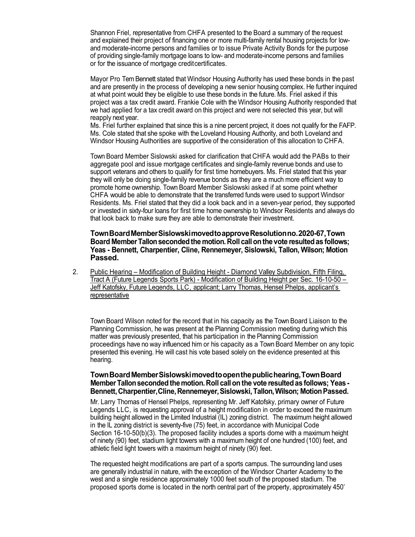Shannon Friel, representative from CHFA presented to the Board a summary of the request and explained their project of financing one or more multi-family rental housing projects for lowand moderate-income persons and families or to issue Private Activity Bonds for the purpose of providing single-family mortgage loans to low- and moderate-income persons and families or for the issuance of mortgage creditcertificates.

Mayor Pro Tem Bennett stated that Windsor Housing Authority has used these bonds in the past and are presently in the process of developing a new senior housing complex. He further inquired at what point would they be eligible to use these bonds in the future. Ms. Friel asked if this project was a tax credit award. Frankie Cole with the Windsor Housing Authority responded that we had applied for a tax credit award on this project and were not selected this year, but will reapply next year.

Ms. Friel further explained that since this is a nine percent project, it does not qualify for the FAFP. Ms. Cole stated that she spoke with the Loveland Housing Authority, and both Loveland and Windsor Housing Authorities are supportive of the consideration of this allocation to CHFA.

Town Board Member Sislowski asked for clarification that CHFA would add the PABs to their aggregate pool and issue mortgage certificates and single-family revenue bonds and use to support veterans and others to qualify for first time homebuyers. Ms. Friel stated that this year they will only be doing single-family revenue bonds as they are a much more efficient way to promote home ownership. Town Board Member Sislowski asked if at some point whether CHFA would be able to demonstrate that the transferred funds were used to support Windsor Residents. Ms. Friel stated that they did a look back and in a seven-year period, they supported or invested in sixty-four loans for first time home ownership to Windsor Residents and always do that look back to make sure they are able to demonstrate their investment.

**TownBoardMemberSislowskimovedtoapproveResolutionno.2020-67,Town Board MemberTallonsecondedthe motion.Roll callonthe vote resultedas follows; Yeas - Bennett, Charpentier, Cline, Rennemeyer, Sislowski, Tallon, Wilson; Motion Passed.**

2. Public Hearing – Modification of Building Height - Diamond Valley Subdivision, Fifth Filing, Tract A (Future Legends Sports Park) - Modification of Building Height per Sec. 16-10-50 – Jeff Katofsky, Future Legends, LLC, applicant; Larry Thomas, Hensel Phelps, applicant's representative

Town Board Wilson noted for the record that in his capacity as the Town Board Liaison to the Planning Commission, he was present at the Planning Commission meeting during which this matter was previously presented, that his participation in the Planning Commission proceedings have no way influenced him or his capacity as a Town Board Member on any topic presented this evening. He will cast his vote based solely on the evidence presented at this hearing.

# **TownBoardMemberSislowskimovedtoopenthepublichearing,TownBoard MemberTallonsecondedthemotion.Roll callon the vote resultedas follows; Yeas-Bennett,Charpentier,Cline,Rennemeyer,Sislowski,Tallon,Wilson; MotionPassed.**

Mr. Larry Thomas of Hensel Phelps, representing Mr. Jeff Katofsky, primary owner of Future Legends LLC, is requesting approval of a height modification in order to exceed the maximum building height allowed in the Limited Industrial (IL) zoning district. The maximum height allowed in the IL zoning district is seventy-five (75) feet, in accordance with Municipal Code Section 16-10-50(b)(3). The proposed facility includes a sports dome with a maximum height of ninety (90) feet, stadium light towers with a maximum height of one hundred (100) feet, and athletic field light towers with a maximum height of ninety (90) feet.

The requested height modifications are part of a sports campus. The surrounding land uses are generally industrial in nature, with the exception of the Windsor Charter Academy to the west and a single residence approximately 1000 feet south of the proposed stadium. The proposed sports dome is located in the north central part of the property, approximately 450'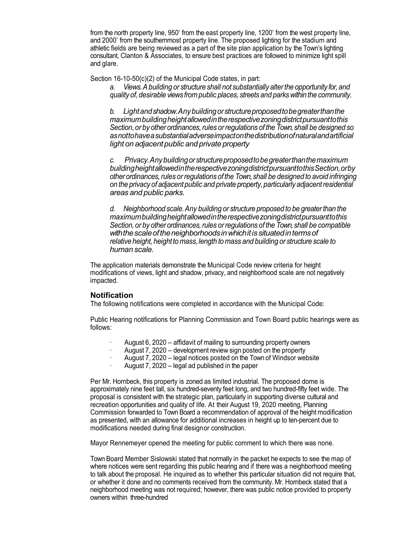from the north property line, 950' from the east property line, 1200' from the west property line, and 2000' from the southernmost property line. The proposed lighting for the stadium and athletic fields are being reviewed as a part of the site plan application by the Town's lighting consultant, Clanton & Associates, to ensure best practices are followed to minimize light spill and glare.

Section 16-10-50(c)(2) of the Municipal Code states, in part:

*a. Views.Abuilding or structure shall not substantially alterthe opportunity for,and quality of, desirable viewsfrom public places, streets and parks withinthe community.*

*b. Lightandshadow.Anybuildingorstructureproposedtobegreaterthanthe maximumbuildingheightallowedintherespectivezoningdistrictpursuanttothis Section, or by other ordinances, rules or regulations of the Town, shall be designed so asnottohaveasubstantialadverseimpactonthedistributionofnaturalandartificial light on adjacentpublic and private property*

*c. Privacy.Anybuildingorstructureproposedtobegreaterthanthemaximum buildingheightallowedintherespectivezoningdistrictpursuanttothisSection,orby other ordinances,rules orregulations of the Town,shall be designed to avoid infringing on the privacy of adjacent public and private property,particularly adjacentresidential areas and public parks.*

*d. Neighborhood scale.Any building or structure proposed to be greaterthan the maximumbuildingheightallowedintherespectivezoningdistrictpursuanttothis Section, or by other ordinances, rules or regulations of the Town, shall be compatible withthescaleoftheneighborhoodsinwhichitis situatedintermsof relative height, height to mass,length to mass and building or structure scale to human scale.*

The application materials demonstrate the Municipal Code review criteria for height modifications of views, light and shadow, privacy, and neighborhood scale are not negatively impacted.

# **Notification**

The following notifications were completed in accordance with the Municipal Code:

Public Hearing notifications for Planning Commission and Town Board public hearings were as follows:

- August 6, 2020 affidavit of mailing to surrounding property owners
- August 7, 2020 development review sign posted on the property
- August 7, 2020 legal notices posted on the Town of Windsor website
- August 7, 2020 legal ad published in the paper

Per Mr. Hornbeck, this property is zoned as limited industrial. The proposed dome is approximately nine feet tall, six hundred-seventy feet long, and two hundred-fifty feet wide. The proposal is consistent with the strategic plan, particularly in supporting diverse cultural and recreation opportunities and quality of life. At their August 19, 2020 meeting, Planning Commission forwarded to Town Board a recommendation of approval of the height modification as presented, with an allowance for additional increases in height up to ten-percent due to modifications needed during final designor construction.

Mayor Rennemeyer opened the meeting for public comment to which there was none.

Town Board Member Sislowski stated that normally in the packet he expects to see the map of where notices were sent regarding this public hearing and if there was a neighborhood meeting to talk about the proposal. He inquired as to whether this particular situation did not require that, or whether it done and no comments received from the community.Mr. Hornbeck stated that a neighborhood meeting was not required; however, there was public notice provided to property owners within three-hundred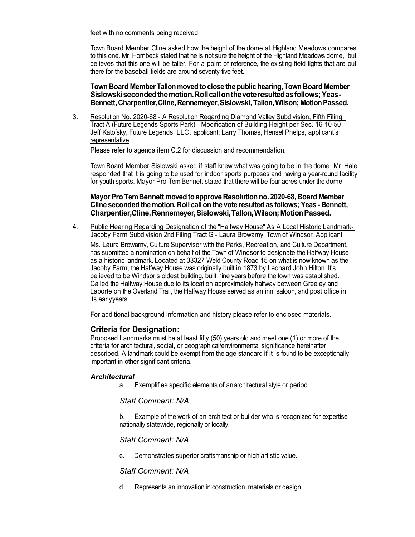feet with no comments being received.

Town Board Member Cline asked how the height of the dome at Highland Meadows compares to this one. Mr. Hornbeck stated that he is not sure the height of the Highland Meadows dome, but believes that this one will be taller. For a point of reference, the existing field lights that are out there for the baseball fields are around seventy-five feet.

**Town Board MemberTallonmovedtoclose the publichearing,Town Board Member Sislowskisecondedthemotion.Rollcallonthevoteresultedasfollows;Yeas-Bennett,Charpentier,Cline,Rennemeyer,Sislowski,Tallon,Wilson; MotionPassed.**

3. Resolution No. 2020-68 - A Resolution Regarding Diamond Valley Subdivision, Fifth Filing, Tract A (Future Legends Sports Park) - Modification of Building Height per Sec. 16-10-50 – Jeff Katofsky, Future Legends, LLC, applicant; Larry Thomas, Hensel Phelps, applicant's representative

Please refer to agenda item C.2 for discussion and recommendation.

Town Board Member Sislowski asked if staff knew what was going to be in the dome. Mr. Hale responded that it is going to be used for indoor sports purposes and having a year-round facility for youth sports. Mayor Pro Tem Bennett stated that there will be four acres under the dome.

# **MayorPro TemBennett movedtoapprove Resolutionno.2020-68,Board Member Cline secondedthemotion.Roll callon the vote resultedas follows; Yeas- Bennett, Charpentier,Cline,Rennemeyer,Sislowski,Tallon,Wilson;MotionPassed.**

4. Public Hearing Regarding Designation of the "Halfway House" As A Local Historic Landmark-Jacoby Farm Subdivision 2nd Filing Tract G - Laura Browarny, Town of Windsor, Applicant

Ms. Laura Browarny, Culture Supervisor with the Parks, Recreation, and Culture Department, has submitted a nomination on behalf of the Town of Windsor to designate the Halfway House as a historic landmark. Located at 33327 Weld County Road 15 on what is now known as the Jacoby Farm, the Halfway House was originally built in 1873 by Leonard John Hilton. It's believed to be Windsor's oldest building, built nine years before the town was established. Called the Halfway House due to its location approximately halfway between Greeley and Laporte on the Overland Trail, the Halfway House served as an inn, saloon, and post office in its earlyyears.

For additional background information and history please refer to enclosed materials.

# **Criteria for Designation:**

Proposed Landmarks must be at least fifty (50) years old and meet one (1) or more of the criteria for architectural, social, or geographical/environmental significance hereinafter described. A landmark could be exempt from the age standard if it is found to be exceptionally important in other significant criteria.

# *Architectural*

a. Exemplifies specific elements of anarchitectural style or period.

# *Staff Comment: N/A*

b. Example of the work of an architect or builder who is recognized for expertise nationally statewide, regionally or locally.

# *Staff Comment: N/A*

c. Demonstrates superior craftsmanship or high artistic value.

# *Staff Comment: N/A*

d. Represents an innovation in construction, materials or design.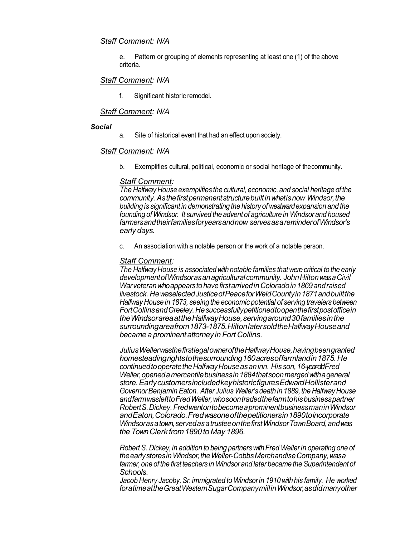# *Staff Comment: N/A*

e. Pattern or grouping of elements representing at least one (1) of the above criteria.

# *Staff Comment: N/A*

f. Significant historic remodel.

#### *Staff Comment: N/A*

#### *Social*

a. Site of historical event that had an effect upon society.

### *Staff Comment: N/A*

b. Exemplifies cultural, political, economic or social heritage of thecommunity.

### *Staff Comment:*

*The Halfway House exemplifies the cultural,economic, and social heritage of the community. Asthefirstpermanentstructurebuiltinwhatisnow Windsor,the building is significant in demonstrating the history of westwardexpansion and the founding of Windsor. It survived the adventof agriculture in Windsor and housed farmersandtheirfamiliesforyearsandnow servesasareminderofWindsor's early days.*

c. An association with a notable person or the work of a notable person.

#### *Staff Comment:*

*The Halfway House is associated withnotable families thatwerecritical to the early developmentofWindsorasanagriculturalcommunity. JohnHiltonwasaCivil WarveteranwhoappearstohavefirstarrivedinColoradoin1869andraised livestock. HewaselectedJusticeofPeaceforWeldCountyin1871andbuiltthe Halfway House in 1873, seeing the economic potential of serving travelers between FortCollinsandGreeley.Hesuccessfullypetitionedtoopenthefirstpostofficein theWindsorareaattheHalfwayHouse,servingaround30familiesinthe surroundingareafrom1873-1875.HiltonlatersoldtheHalfwayHouseand became a prominentattorney in Fort Collins.*

*JuliusWellerwasthefirstlegalowneroftheHalfwayHouse,havingbeengranted homesteadingrightstothesurrounding160acresoffarmlandin1875.He continuedtooperatetheHalfwayHouseasaninn. His son,16-year-oldFred Weller,openedamercantilebusinessin1884thatsoonmergedwithageneral store.EarlycustomersincludedkeyhistoricfiguresEdwardHollisterand GovernorBenjamin Eaton. After Julius Weller's deathin 1889, the HalfwayHouse andfarmwaslefttoFredWeller,whosoontradedthefarmtohisbusinesspartner RobertS.Dickey.FredwentontobecomeaprominentbusinessmaninWindsor andEaton,Colorado.Fredwasoneofthepetitionersin1890toincorporate Windsorasatown,servedasatrusteeonthefirstWindsorTownBoard,andwas theTownClerk from1890 to May 1896.*

*RobertS. Dickey, in addition to being partnerswithFred Wellerin operating one of theearlystoresinWindsor,theWeller-CobbsMerchandiseCompany,wasa farmer,one of the first teachers in Windsor and later became the Superintendentof Schools.*

*Jacob Henry Jacoby,Sr.immigrated to Windsorin 1910 withhis family. He worked foratimeattheGreatWesternSugarCompanymillinWindsor,asdidmanyother*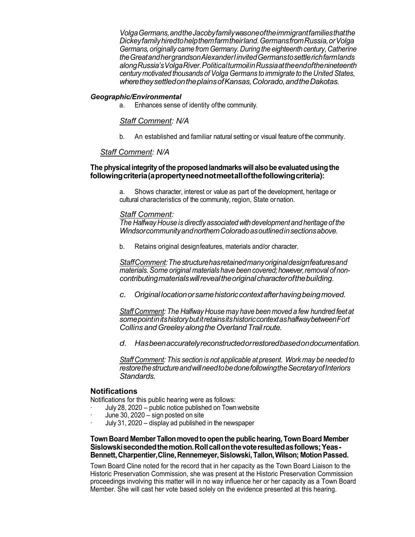*VolgaGermans,andtheJacobyfamilywasoneoftheimmigrantfamiliesthatthe Dickeyfamilyhiredtohelpthemfarmtheirland.GermansfromRussia,orVolga Germans,originally came from Germany.During the eighteenth century,Catherine theGreatandhergrandsonAlexanderIinvitedGermanstosettlerichfarmlands alongRussia'sVolgaRiver.PoliticalturmoilinRussiaattheendofthenineteenth century motivated thousands ofVolga Germans to immigrate to the United States, wheretheysettledontheplainsofKansas,Colorado,andtheDakotas.*

#### *Geographic/Environmental*

a. Enhances sense of identity ofthe community.

*Staff Comment: N/A*

b. An established and familiar natural setting or visual feature ofthe community.

### *Staff Comment: N/A*

### **The physicalintegrityoftheproposedlandmarkswillalsobe evaluatedusingthe followingcriteria(apropertyneednotmeetallofthefollowingcriteria):**

a. Shows character, interest or value as part of the development, heritage or cultural characteristics of the community, region, State ornation.

#### *Staff Comment:*

*The HalfwayHouse is directly associatedwithdevelopmentand heritage of the WindsorcommunityandnorthernColoradoasoutlinedinsectionsabove.*

b. Retains original designfeatures, materials and/or character.

*StaffComment:Thestructurehasretainedmanyoriginaldesignfeaturesand materials.Some original materials have been covered;however,removal of noncontributingmaterialswillrevealtheoriginalcharacterofthebuilding.*

*c. Original locationorsamehistoriccontextafterhavingbeingmoved.*

*Staff Comment: The Halfway House may have been moved a few hundred feetat somepointinitshistorybutitretainsitshistoriccontextashalfwaybetweenFort Collins andGreeleyalongtheOverlandTrailroute.*

*d. Hasbeenaccuratelyreconstructedorrestoredbasedondocumentation.*

*Staff Comment: This section is not applicable at present. Work may be needed to restorethestructureandwillneedtobedonefollowingtheSecretaryofInteriors Standards.*

#### **Notifications**

Notifications for this public hearing were as follows:

- · July 28, 2020 public notice published on Townwebsite
- June 30,  $2020 -$  sign posted on site
- · July 31, 2020 display ad published in the newspaper

# **Town Board MemberTallonmovedto openthe publichearing,Town Board Member Sislowskisecondedthemotion.Rollcallonthevoteresultedasfollows;Yeas-Bennett,Charpentier,Cline,Rennemeyer,Sislowski,Tallon,Wilson; MotionPassed.**

Town Board Cline noted for the record that in her capacity as the Town Board Liaison to the Historic Preservation Commission, she was present at the Historic Preservation Commission proceedings involving this matter will in no way influence her or her capacity as a Town Board Member. She will cast her vote based solely on the evidence presented at this hearing.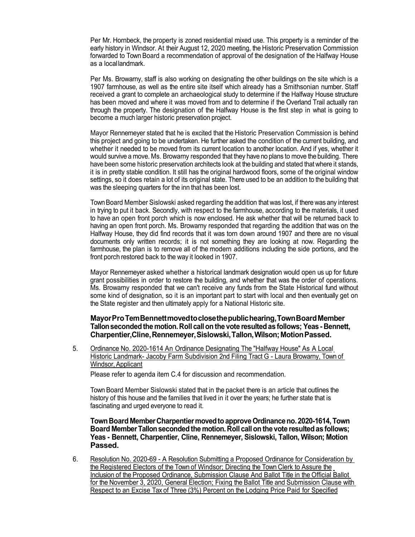Per Mr. Hornbeck, the property is zoned residential mixed use. This property is a reminder of the early history in Windsor. At their August 12, 2020 meeting, the Historic Preservation Commission forwarded to Town Board a recommendation of approval of the designation of the Halfway House as a locallandmark.

Per Ms. Browarny, staff is also working on designating the other buildings on the site which is a 1907 farmhouse, as well as the entire site itself which already has a Smithsonian number. Staff received a grant to complete an archaeological study to determine if the Halfway House structure has been moved and where it was moved from and to determine if the Overland Trail actually ran through the property. The designation of the Halfway House is the first step in what is going to become a much larger historic preservation project.

Mayor Rennemeyer stated that he is excited that the Historic Preservation Commission is behind this project and going to be undertaken. He further asked the condition of the current building, and whether it needed to be moved from its current location to another location. And if yes, whether it would survive a move. Ms. Browarny responded that they have no plans to move the building. There have been some historic preservation architects look at the building and stated that where it stands, it is in pretty stable condition. It still has the original hardwood floors, some of the original window settings, so it does retain a lot of its original state. There used to be an addition to the building that was the sleeping quarters for the inn that has been lost.

Town Board Member Sislowski asked regarding the addition that was lost, if there was any interest in trying to put it back. Secondly, with respect to the farmhouse, according to the materials, it used to have an open front porch which is now enclosed. He ask whether that will be returned back to having an open front porch. Ms. Browarny responded that regarding the addition that was on the Halfway House, they did find records that it was torn down around 1907 and there are no visual documents only written records; it is not something they are looking at now. Regarding the farmhouse, the plan is to remove all of the modern additions including the side portions, and the front porch restored back to the way it looked in 1907.

Mayor Rennemeyer asked whether a historical landmark designation would open us up for future grant possibilities in order to restore the building, and whether that was the order of operations. Ms. Browarny responded that we can't receive any funds from the State Historical fund without some kind of designation, so it is an important part to start with local and then eventually get on the State register and then ultimately apply for a National Historic site.

#### **MayorProTemBennettmovedtoclosethepublichearing,TownBoardMember Tallonsecondedthe motion.Roll callon the vote resultedas follows; Yeas- Bennett, Charpentier,Cline,Rennemeyer,Sislowski,Tallon,Wilson;MotionPassed.**

5. Ordinance No. 2020-1614 An Ordinance Designating The "Halfway House" As A Local Historic Landmark- Jacoby Farm Subdivision 2nd Filing Tract G - Laura Browarny, Town of Windsor,Applicant

Please refer to agenda item C.4 for discussion and recommendation.

Town Board Member Sislowski stated that in the packet there is an article that outlines the history of this house and the families that lived in it over the years; he further state that is fascinating and urged everyone to read it.

**TownBoard MemberCharpentiermovedtoapprove Ordinanceno.2020-1614,Town Board MemberTallonsecondedthe motion.Roll callon the vote resultedas follows; Yeas - Bennett, Charpentier, Cline, Rennemeyer, Sislowski, Tallon, Wilson; Motion Passed.**

6. Resolution No. 2020-69 - A Resolution Submitting a Proposed Ordinance for Consideration by the Registered Electors of the Town of Windsor; Directing the Town Clerk to Assure the Inclusion of the Proposed Ordinance, Submission Clause And Ballot Title in the Official Ballot for the November 3, 2020, General Election; Fixing the Ballot Title and Submission Clause with Respect to an Excise Tax of Three (3%) Percent on the Lodging Price Paid for Specified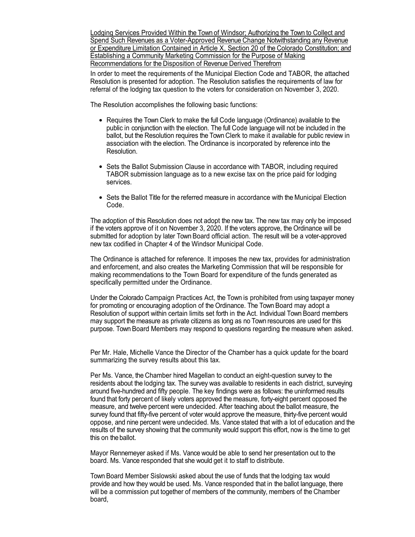Lodging Services Provided Within the Town of Windsor; Authorizing the Town to Collect and Spend Such Revenues as a Voter-Approved Revenue Change Notwithstanding any Revenue or Expenditure Limitation Contained in Article X, Section 20 of the Colorado Constitution; and Establishing a Community Marketing Commission for the Purpose of Making Recommendations for the Disposition of Revenue Derived Therefrom

In order to meet the requirements of the Municipal Election Code and TABOR, the attached Resolution is presented for adoption. The Resolution satisfies the requirements of law for referral of the lodging tax question to the voters for consideration on November 3, 2020.

The Resolution accomplishes the following basic functions:

- Requires the Town Clerk to make the full Code language (Ordinance) available to the public in conjunction with the election. The full Code language will not be included in the ballot, but the Resolution requires the Town Clerk to make it available for public review in association with the election. The Ordinance is incorporated by reference into the Resolution.
- Sets the Ballot Submission Clause in accordance with TABOR, including required TABOR submission language as to a new excise tax on the price paid for lodging services.
- Sets the Ballot Title for the referred measure in accordance with the Municipal Election Code.

The adoption of this Resolution does not adopt the new tax. The new tax may only be imposed if the voters approve of it on November 3, 2020. If the voters approve, the Ordinance will be submitted for adoption by later Town Board official action. The result will be a voter-approved new tax codified in Chapter 4 of the Windsor Municipal Code.

The Ordinance is attached for reference. It imposes the new tax, provides for administration and enforcement, and also creates the Marketing Commission that will be responsible for making recommendations to the Town Board for expenditure of the funds generated as specifically permitted under the Ordinance.

Under the Colorado Campaign Practices Act, the Town is prohibited from using taxpayer money for promoting or encouraging adoption of the Ordinance. The Town Board may adopt a Resolution of support within certain limits set forth in the Act. Individual Town Board members may support the measure as private citizens as long as no Town resources are used for this purpose. Town Board Members may respond to questions regarding the measure when asked.

Per Mr. Hale, Michelle Vance the Director of the Chamber has a quick update for the board summarizing the survey results about this tax.

Per Ms. Vance, the Chamber hired Magellan to conduct an eight-question survey to the residents about the lodging tax. The survey was available to residents in each district, surveying around five-hundred and fifty people. The key findings were as follows: the uninformed results found that forty percent of likely voters approved the measure, forty-eight percent opposed the measure, and twelve percent were undecided. After teaching about the ballot measure, the survey found that fifty-five percent of voter would approve the measure, thirty-five percent would oppose, and nine percent were undecided. Ms. Vance stated that with a lot of education and the results of the survey showing that the community would support this effort, now is the time to get this on theballot.

Mayor Rennemeyer asked if Ms. Vance would be able to send her presentation out to the board. Ms. Vance responded that she would get it to staff to distribute.

Town Board Member Sislowski asked about the use of funds that the lodging tax would provide and how they would be used. Ms. Vance responded that in the ballot language, there will be a commission put together of members of the community, members of the Chamber board,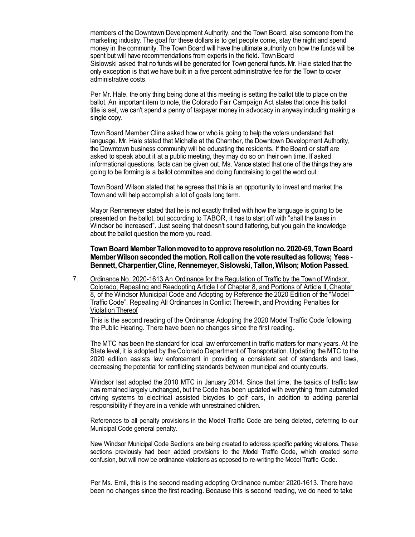members of the Downtown Development Authority, and the Town Board, also someone from the marketing industry. The goal for these dollars is to get people come, stay the night and spend money in the community. The Town Board will have the ultimate authority on how the funds will be spent but will have recommendations from experts in the field. Town Board Sislowski asked that no funds will be generated for Town general funds.Mr. Hale stated that the only exception is that we have built in a five percent administrative fee for the Town to cover administrative costs.

Per Mr. Hale, the only thing being done at this meeting is setting the ballot title to place on the ballot. An important item to note, the Colorado Fair Campaign Act states that once this ballot title is set, we can't spend a penny of taxpayer money in advocacy in anyway including making a single copy.

Town Board Member Cline asked how or who is going to help the voters understand that language. Mr. Hale stated that Michelle at the Chamber, the Downtown Development Authority, the Downtown business community will be educating the residents. If the Board or staff are asked to speak about it at a public meeting, they may do so on their own time. If asked informational questions, facts can be given out. Ms. Vance stated that one of the things they are going to be forming is a ballot committee and doing fundraising to get the word out.

Town Board Wilson stated that he agrees that this is an opportunity to invest and market the Town and will help accomplish a lot of goals long term.

Mayor Rennemeyer stated that he is not exactly thrilled with how the language is going to be presented on the ballot, but according to TABOR, it has to start off with "shall the taxes in Windsor be increased". Just seeing that doesn't sound flattering, but you gain the knowledge about the ballot question the more you read.

#### **Town Board Member Tallonmovedto to approve resolution no. 2020-69, Town Board MemberWilsonseconded the motion. Roll callon the vote resultedas follows; Yeas - Bennett,Charpentier,Cline,Rennemeyer,Sislowski,Tallon,Wilson; MotionPassed.**

7. Ordinance No. 2020-1613 An Ordinance for the Regulation of Traffic by the Town of Windsor, Colorado, Repealing and Readopting Article I of Chapter 8, and Portions of Article II, Chapter 8, of the Windsor Municipal Code and Adopting by Reference the 2020 Edition of the "Model Traffic Code", Repealing All Ordinances In Conflict Therewith, and Providing Penalties for Violation Thereof

This is the second reading of the Ordinance Adopting the 2020 Model Traffic Code following the Public Hearing. There have been no changes since the first reading.

The MTC has been the standard for local law enforcement in traffic matters for many years. At the State level, it is adopted by the Colorado Department of Transportation. Updating the MTC to the 2020 edition assists law enforcement in providing a consistent set of standards and laws, decreasing the potential for conflicting standards between municipal and county courts.

Windsor last adopted the 2010 MTC in January 2014. Since that time, the basics of traffic law has remained largely unchanged, but the Code has been updated with everything from automated driving systems to electrical assisted bicycles to golf cars, in addition to adding parental responsibility if they are in a vehicle with unrestrained children.

References to all penalty provisions in the Model Traffic Code are being deleted, deferring to our Municipal Code general penalty.

New Windsor Municipal Code Sections are being created to address specific parking violations. These sections previously had been added provisions to the Model Traffic Code, which created some confusion, but will now be ordinance violations as opposed to re-writing the Model Traffic Code.

Per Ms. Emil, this is the second reading adopting Ordinance number 2020-1613. There have been no changes since the first reading. Because this is second reading, we do need to take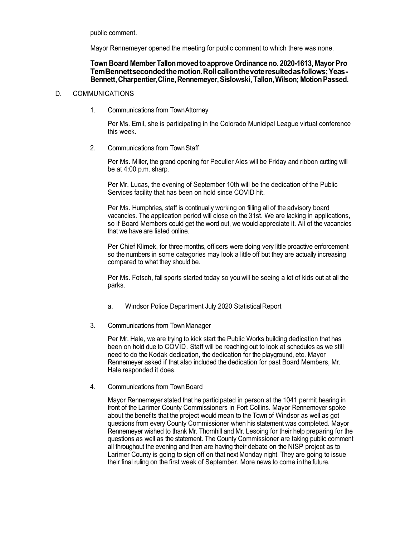public comment.

Mayor Rennemeyer opened the meeting for public comment to which there was none.

# **TownBoard MemberTallonmovedtoapprove Ordinanceno.2020-1613, MayorPro TemBennettsecondedthemotion.Rollcallonthevoteresultedasfollows;Yeas-Bennett,Charpentier,Cline,Rennemeyer,Sislowski,Tallon,Wilson; MotionPassed.**

# D. COMMUNICATIONS

1. Communications from TownAttorney

Per Ms. Emil, she is participating in the Colorado Municipal League virtual conference this week.

2. Communications from TownStaff

Per Ms. Miller, the grand opening for Peculier Ales will be Friday and ribbon cutting will be at 4:00 p.m. sharp.

Per Mr. Lucas, the evening of September 10th will be the dedication of the Public Services facility that has been on hold since COVID hit.

Per Ms. Humphries, staff is continually working on filling all of the advisory board vacancies. The application period will close on the 31st. We are lacking in applications, so if Board Members could get the word out, we would appreciate it. All of the vacancies that we have are listed online.

Per Chief Klimek, for three months, officers were doing very little proactive enforcement so the numbers in some categories may look a little off but they are actually increasing compared to what they should be.

Per Ms. Fotsch, fall sports started today so you will be seeing a lot of kids out at all the parks.

- a. Windsor Police Department July 2020 StatisticalReport
- 3. Communications from TownManager

Per Mr. Hale, we are trying to kick start the Public Works building dedication that has been on hold due to COVID. Staff will be reaching out to look at schedules as we still need to do the Kodak dedication, the dedication for the playground, etc. Mayor Rennemeyer asked if that also included the dedication for past Board Members, Mr. Hale responded it does.

4. Communications from TownBoard

Mayor Rennemeyer stated that he participated in person at the 1041 permit hearing in front of the Larimer County Commissioners in Fort Collins. Mayor Rennemeyer spoke about the benefits that the project would mean to the Town of Windsor as well as got questions from every County Commissioner when his statement was completed. Mayor Rennemeyer wished to thank Mr. Thornhill and Mr. Lesoing for their help preparing for the questions as well as the statement. The County Commissioner are taking public comment all throughout the evening and then are having their debate on the NISP project as to Larimer County is going to sign off on that next Monday night. They are going to issue their final ruling on the first week of September. More news to come inthe future.